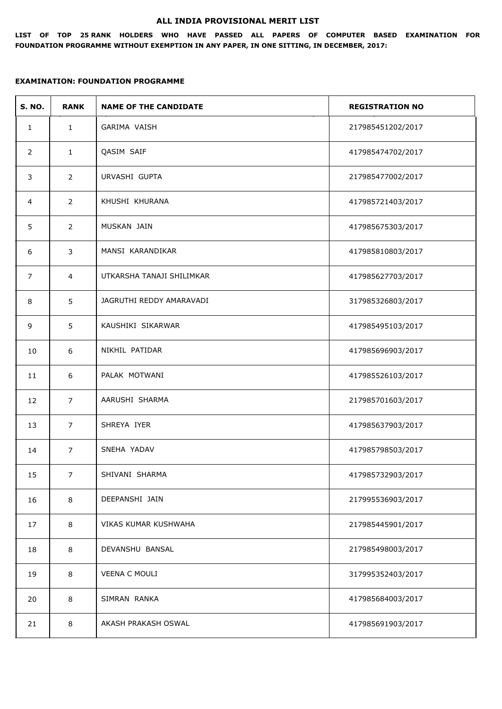#### **ALL INDIA PROVISIONAL MERIT LIST**

**LIST OF TOP 25 RANK HOLDERS WHO HAVE PASSED ALL PAPERS OF COMPUTER BASED EXAMINATION FOR FOUNDATION PROGRAMME WITHOUT EXEMPTION IN ANY PAPER, IN ONE SITTING, IN DECEMBER, 2017:**

| <b>S. NO.</b>  | <b>RANK</b>    | <b>NAME OF THE CANDIDATE</b> | <b>REGISTRATION NO</b> |
|----------------|----------------|------------------------------|------------------------|
| $\mathbf{1}$   | $\mathbf{1}$   | GARIMA VAISH                 | 217985451202/2017      |
| $\overline{2}$ | $\mathbf{1}$   | QASIM SAIF                   | 417985474702/2017      |
| 3              | $\overline{2}$ | URVASHI GUPTA                | 217985477002/2017      |
| $\overline{4}$ | $\overline{2}$ | KHUSHI KHURANA               | 417985721403/2017      |
| 5              | $\overline{2}$ | MUSKAN JAIN                  | 417985675303/2017      |
| 6              | 3              | MANSI KARANDIKAR             | 417985810803/2017      |
| $\overline{7}$ | $\overline{4}$ | UTKARSHA TANAJI SHILIMKAR    | 417985627703/2017      |
| 8              | 5              | JAGRUTHI REDDY AMARAVADI     | 317985326803/2017      |
| 9              | 5              | KAUSHIKI SIKARWAR            | 417985495103/2017      |
| 10             | 6              | NIKHIL PATIDAR               | 417985696903/2017      |
| 11             | 6              | PALAK MOTWANI                | 417985526103/2017      |
| 12             | $\overline{7}$ | AARUSHI SHARMA               | 217985701603/2017      |
| 13             | $\overline{7}$ | SHREYA IYER                  | 417985637903/2017      |
| 14             | $\overline{7}$ | SNEHA YADAV                  | 417985798503/2017      |
| 15             | $\overline{7}$ | SHIVANI SHARMA               | 417985732903/2017      |
| 16             | $\,8\,$        | DEEPANSHI JAIN               | 217995536903/2017      |
| 17             | 8              | VIKAS KUMAR KUSHWAHA         | 217985445901/2017      |
| 18             | $\,8\,$        | DEVANSHU BANSAL              | 217985498003/2017      |
| 19             | 8              | <b>VEENA C MOULI</b>         | 317995352403/2017      |
| 20             | $\,8\,$        | SIMRAN RANKA                 | 417985684003/2017      |
| 21             | 8              | AKASH PRAKASH OSWAL          | 417985691903/2017      |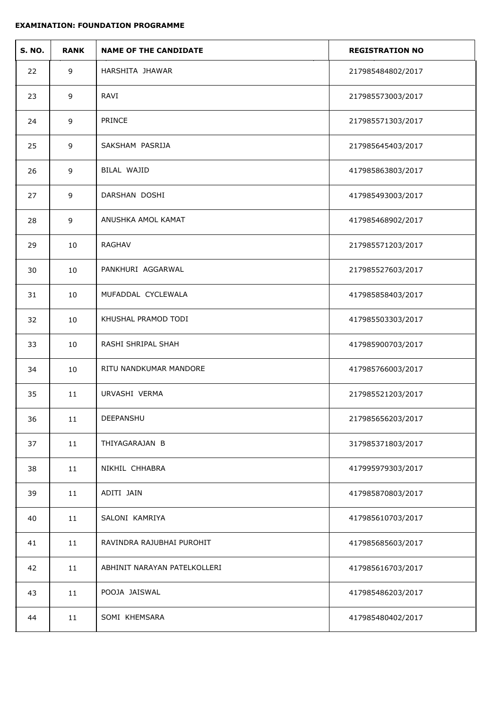| <b>S. NO.</b> | <b>RANK</b> | <b>NAME OF THE CANDIDATE</b> | <b>REGISTRATION NO</b> |
|---------------|-------------|------------------------------|------------------------|
| 22            | 9           | HARSHITA JHAWAR              | 217985484802/2017      |
| 23            | 9           | RAVI                         | 217985573003/2017      |
| 24            | 9           | PRINCE                       | 217985571303/2017      |
| 25            | 9           | SAKSHAM PASRIJA              | 217985645403/2017      |
| 26            | 9           | BILAL WAJID                  | 417985863803/2017      |
| 27            | 9           | DARSHAN DOSHI                | 417985493003/2017      |
| 28            | 9           | ANUSHKA AMOL KAMAT           | 417985468902/2017      |
| 29            | 10          | <b>RAGHAV</b>                | 217985571203/2017      |
| 30            | 10          | PANKHURI AGGARWAL            | 217985527603/2017      |
| 31            | 10          | MUFADDAL CYCLEWALA           | 417985858403/2017      |
| 32            | 10          | KHUSHAL PRAMOD TODI          | 417985503303/2017      |
| 33            | 10          | RASHI SHRIPAL SHAH           | 417985900703/2017      |
| 34            | 10          | RITU NANDKUMAR MANDORE       | 417985766003/2017      |
| 35            | 11          | URVASHI VERMA                | 217985521203/2017      |
| 36            | $11\,$      | DEEPANSHU                    | 217985656203/2017      |
| 37            | $11\,$      | THIYAGARAJAN B               | 317985371803/2017      |
| 38            | 11          | NIKHIL CHHABRA               | 417995979303/2017      |
| 39            | 11          | ADITI JAIN                   | 417985870803/2017      |
| 40            | 11          | SALONI KAMRIYA               | 417985610703/2017      |
| 41            | 11          | RAVINDRA RAJUBHAI PUROHIT    | 417985685603/2017      |
| 42            | 11          | ABHINIT NARAYAN PATELKOLLERI | 417985616703/2017      |
| 43            | 11          | POOJA JAISWAL                | 417985486203/2017      |
| 44            | 11          | SOMI KHEMSARA                | 417985480402/2017      |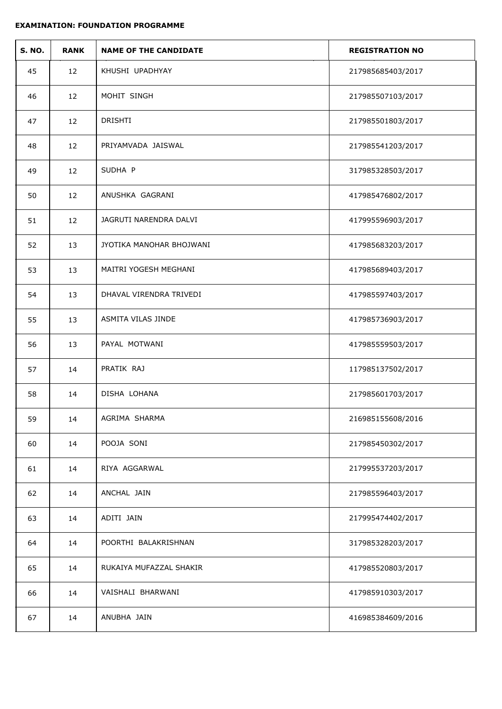| <b>S. NO.</b> | <b>RANK</b> | <b>NAME OF THE CANDIDATE</b> | <b>REGISTRATION NO</b> |
|---------------|-------------|------------------------------|------------------------|
| 45            | 12          | KHUSHI UPADHYAY              | 217985685403/2017      |
| 46            | 12          | MOHIT SINGH                  | 217985507103/2017      |
| 47            | 12          | DRISHTI                      | 217985501803/2017      |
| 48            | 12          | PRIYAMVADA JAISWAL           | 217985541203/2017      |
| 49            | 12          | SUDHA P                      | 317985328503/2017      |
| 50            | 12          | ANUSHKA GAGRANI              | 417985476802/2017      |
| 51            | 12          | JAGRUTI NARENDRA DALVI       | 417995596903/2017      |
| 52            | 13          | JYOTIKA MANOHAR BHOJWANI     | 417985683203/2017      |
| 53            | 13          | MAITRI YOGESH MEGHANI        | 417985689403/2017      |
| 54            | 13          | DHAVAL VIRENDRA TRIVEDI      | 417985597403/2017      |
| 55            | 13          | ASMITA VILAS JINDE           | 417985736903/2017      |
| 56            | 13          | PAYAL MOTWANI                | 417985559503/2017      |
| 57            | 14          | PRATIK RAJ                   | 117985137502/2017      |
| 58            | 14          | DISHA LOHANA                 | 217985601703/2017      |
| 59            | 14          | AGRIMA SHARMA                | 216985155608/2016      |
| 60            | 14          | POOJA SONI                   | 217985450302/2017      |
| 61            | 14          | RIYA AGGARWAL                | 217995537203/2017      |
| 62            | 14          | ANCHAL JAIN                  | 217985596403/2017      |
| 63            | 14          | ADITI JAIN                   | 217995474402/2017      |
| 64            | 14          | POORTHI BALAKRISHNAN         | 317985328203/2017      |
| 65            | 14          | RUKAIYA MUFAZZAL SHAKIR      | 417985520803/2017      |
| 66            | 14          | VAISHALI BHARWANI            | 417985910303/2017      |
| 67            | 14          | ANUBHA JAIN                  | 416985384609/2016      |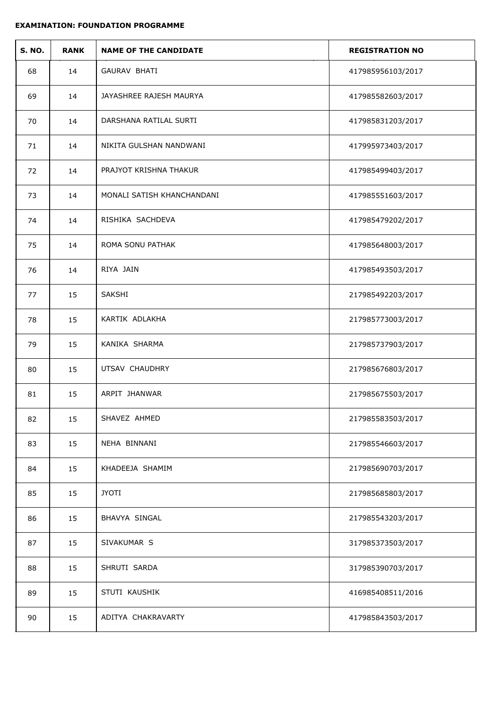| <b>S. NO.</b> | <b>RANK</b> | <b>NAME OF THE CANDIDATE</b> | <b>REGISTRATION NO</b> |
|---------------|-------------|------------------------------|------------------------|
| 68            | 14          | GAURAV BHATI                 | 417985956103/2017      |
| 69            | 14          | JAYASHREE RAJESH MAURYA      | 417985582603/2017      |
| 70            | 14          | DARSHANA RATILAL SURTI       | 417985831203/2017      |
| 71            | 14          | NIKITA GULSHAN NANDWANI      | 417995973403/2017      |
| 72            | 14          | PRAJYOT KRISHNA THAKUR       | 417985499403/2017      |
| 73            | 14          | MONALI SATISH KHANCHANDANI   | 417985551603/2017      |
| 74            | 14          | RISHIKA SACHDEVA             | 417985479202/2017      |
| 75            | 14          | ROMA SONU PATHAK             | 417985648003/2017      |
| 76            | 14          | RIYA JAIN                    | 417985493503/2017      |
| 77            | 15          | SAKSHI                       | 217985492203/2017      |
| 78            | 15          | KARTIK ADLAKHA               | 217985773003/2017      |
| 79            | 15          | KANIKA SHARMA                | 217985737903/2017      |
| 80            | 15          | UTSAV CHAUDHRY               | 217985676803/2017      |
| 81            | 15          | ARPIT JHANWAR                | 217985675503/2017      |
| 82            | 15          | SHAVEZ AHMED                 | 217985583503/2017      |
| 83            | 15          | NEHA BINNANI                 | 217985546603/2017      |
| 84            | 15          | KHADEEJA SHAMIM              | 217985690703/2017      |
| 85            | 15          | <b>JYOTI</b>                 | 217985685803/2017      |
| 86            | 15          | BHAVYA SINGAL                | 217985543203/2017      |
| 87            | 15          | SIVAKUMAR S                  | 317985373503/2017      |
| 88            | 15          | SHRUTI SARDA                 | 317985390703/2017      |
| 89            | 15          | STUTI KAUSHIK                | 416985408511/2016      |
| 90            | 15          | ADITYA CHAKRAVARTY           | 417985843503/2017      |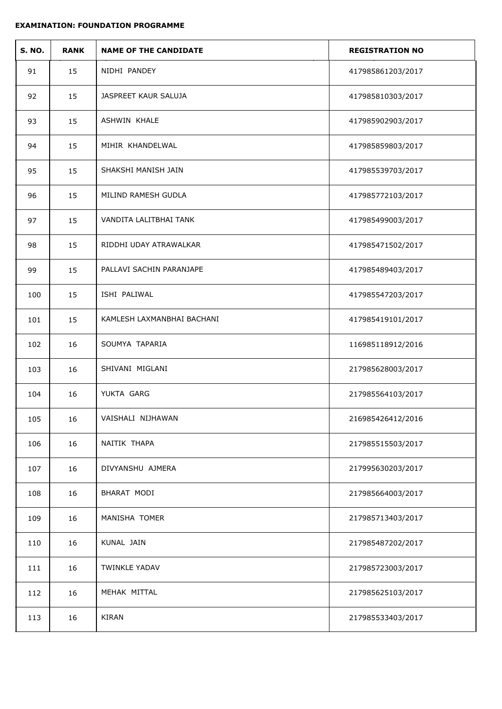| <b>S. NO.</b> | <b>RANK</b> | <b>NAME OF THE CANDIDATE</b> | <b>REGISTRATION NO</b> |
|---------------|-------------|------------------------------|------------------------|
| 91            | 15          | NIDHI PANDEY                 | 417985861203/2017      |
| 92            | 15          | JASPREET KAUR SALUJA         | 417985810303/2017      |
| 93            | 15          | <b>ASHWIN KHALE</b>          | 417985902903/2017      |
| 94            | 15          | MIHIR KHANDELWAL             | 417985859803/2017      |
| 95            | 15          | SHAKSHI MANISH JAIN          | 417985539703/2017      |
| 96            | 15          | MILIND RAMESH GUDLA          | 417985772103/2017      |
| 97            | 15          | VANDITA LALITBHAI TANK       | 417985499003/2017      |
| 98            | 15          | RIDDHI UDAY ATRAWALKAR       | 417985471502/2017      |
| 99            | 15          | PALLAVI SACHIN PARANJAPE     | 417985489403/2017      |
| 100           | 15          | ISHI PALIWAL                 | 417985547203/2017      |
| 101           | 15          | KAMLESH LAXMANBHAI BACHANI   | 417985419101/2017      |
| 102           | 16          | SOUMYA TAPARIA               | 116985118912/2016      |
| 103           | 16          | SHIVANI MIGLANI              | 217985628003/2017      |
| 104           | 16          | YUKTA GARG                   | 217985564103/2017      |
| 105           | 16          | VAISHALI NIJHAWAN            | 216985426412/2016      |
| 106           | 16          | NAITIK THAPA                 | 217985515503/2017      |
| 107           | 16          | DIVYANSHU AJMERA             | 217995630203/2017      |
| 108           | 16          | BHARAT MODI                  | 217985664003/2017      |
| 109           | 16          | MANISHA TOMER                | 217985713403/2017      |
| 110           | 16          | KUNAL JAIN                   | 217985487202/2017      |
| 111           | 16          | <b>TWINKLE YADAV</b>         | 217985723003/2017      |
| 112           | 16          | MEHAK MITTAL                 | 217985625103/2017      |
| 113           | 16          | <b>KIRAN</b>                 | 217985533403/2017      |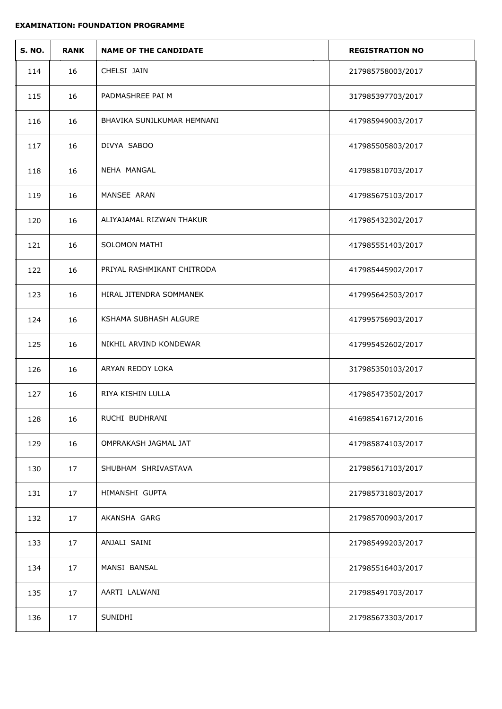| <b>S. NO.</b> | <b>RANK</b> | <b>NAME OF THE CANDIDATE</b> | <b>REGISTRATION NO</b> |
|---------------|-------------|------------------------------|------------------------|
| 114           | 16          | CHELSI JAIN                  | 217985758003/2017      |
| 115           | 16          | PADMASHREE PAI M             | 317985397703/2017      |
| 116           | 16          | BHAVIKA SUNILKUMAR HEMNANI   | 417985949003/2017      |
| 117           | 16          | DIVYA SABOO                  | 417985505803/2017      |
| 118           | 16          | NEHA MANGAL                  | 417985810703/2017      |
| 119           | 16          | MANSEE ARAN                  | 417985675103/2017      |
| 120           | 16          | ALIYAJAMAL RIZWAN THAKUR     | 417985432302/2017      |
| 121           | 16          | <b>SOLOMON MATHI</b>         | 417985551403/2017      |
| 122           | 16          | PRIYAL RASHMIKANT CHITRODA   | 417985445902/2017      |
| 123           | 16          | HIRAL JITENDRA SOMMANEK      | 417995642503/2017      |
| 124           | 16          | KSHAMA SUBHASH ALGURE        | 417995756903/2017      |
| 125           | 16          | NIKHIL ARVIND KONDEWAR       | 417995452602/2017      |
| 126           | 16          | ARYAN REDDY LOKA             | 317985350103/2017      |
| 127           | 16          | RIYA KISHIN LULLA            | 417985473502/2017      |
| 128           | 16          | RUCHI BUDHRANI               | 416985416712/2016      |
| 129           | 16          | OMPRAKASH JAGMAL JAT         | 417985874103/2017      |
| 130           | 17          | SHUBHAM SHRIVASTAVA          | 217985617103/2017      |
| 131           | 17          | HIMANSHI GUPTA               | 217985731803/2017      |
| 132           | 17          | AKANSHA GARG                 | 217985700903/2017      |
| 133           | 17          | ANJALI SAINI                 | 217985499203/2017      |
| 134           | 17          | MANSI BANSAL                 | 217985516403/2017      |
| 135           | 17          | AARTI LALWANI                | 217985491703/2017      |
| 136           | 17          | SUNIDHI                      | 217985673303/2017      |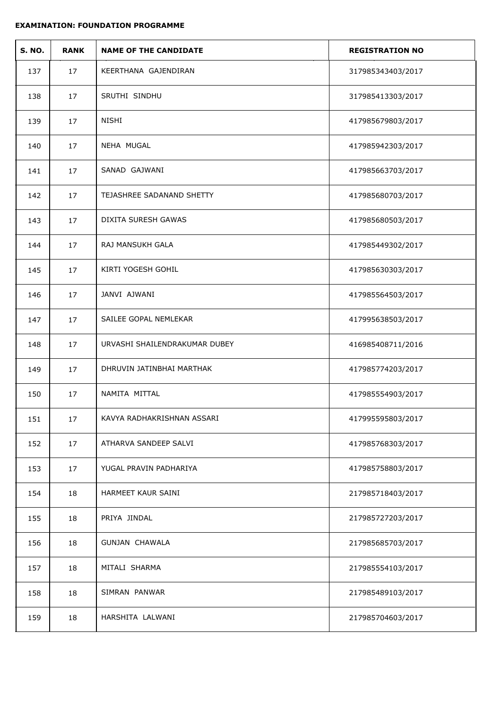| <b>S. NO.</b> | <b>RANK</b> | <b>NAME OF THE CANDIDATE</b>  | <b>REGISTRATION NO</b> |
|---------------|-------------|-------------------------------|------------------------|
| 137           | 17          | KEERTHANA GAJENDIRAN          | 317985343403/2017      |
| 138           | 17          | SRUTHI SINDHU                 | 317985413303/2017      |
| 139           | 17          | <b>NISHI</b>                  | 417985679803/2017      |
| 140           | 17          | NEHA MUGAL                    | 417985942303/2017      |
| 141           | 17          | SANAD GAJWANI                 | 417985663703/2017      |
| 142           | 17          | TEJASHREE SADANAND SHETTY     | 417985680703/2017      |
| 143           | 17          | <b>DIXITA SURESH GAWAS</b>    | 417985680503/2017      |
| 144           | 17          | RAJ MANSUKH GALA              | 417985449302/2017      |
| 145           | 17          | KIRTI YOGESH GOHIL            | 417985630303/2017      |
| 146           | 17          | JANVI AJWANI                  | 417985564503/2017      |
| 147           | 17          | SAILEE GOPAL NEMLEKAR         | 417995638503/2017      |
| 148           | 17          | URVASHI SHAILENDRAKUMAR DUBEY | 416985408711/2016      |
| 149           | 17          | DHRUVIN JATINBHAI MARTHAK     | 417985774203/2017      |
| 150           | 17          | NAMITA MITTAL                 | 417985554903/2017      |
| 151           | 17          | KAVYA RADHAKRISHNAN ASSARI    | 417995595803/2017      |
| 152           | 17          | ATHARVA SANDEEP SALVI         | 417985768303/2017      |
| 153           | 17          | YUGAL PRAVIN PADHARIYA        | 417985758803/2017      |
| 154           | 18          | HARMEET KAUR SAINI            | 217985718403/2017      |
| 155           | 18          | PRIYA JINDAL                  | 217985727203/2017      |
| 156           | 18          | <b>GUNJAN CHAWALA</b>         | 217985685703/2017      |
| 157           | 18          | MITALI SHARMA                 | 217985554103/2017      |
| 158           | 18          | SIMRAN PANWAR                 | 217985489103/2017      |
| 159           | 18          | HARSHITA LALWANI              | 217985704603/2017      |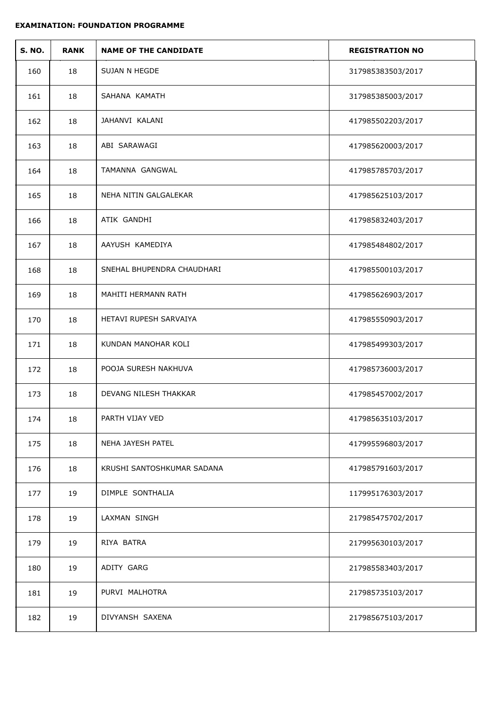| <b>S. NO.</b> | <b>RANK</b> | <b>NAME OF THE CANDIDATE</b> | <b>REGISTRATION NO</b> |
|---------------|-------------|------------------------------|------------------------|
| 160           | 18          | SUJAN N HEGDE                | 317985383503/2017      |
| 161           | 18          | SAHANA KAMATH                | 317985385003/2017      |
| 162           | 18          | JAHANVI KALANI               | 417985502203/2017      |
| 163           | 18          | ABI SARAWAGI                 | 417985620003/2017      |
| 164           | 18          | TAMANNA GANGWAL              | 417985785703/2017      |
| 165           | 18          | NEHA NITIN GALGALEKAR        | 417985625103/2017      |
| 166           | 18          | ATIK GANDHI                  | 417985832403/2017      |
| 167           | 18          | AAYUSH KAMEDIYA              | 417985484802/2017      |
| 168           | 18          | SNEHAL BHUPENDRA CHAUDHARI   | 417985500103/2017      |
| 169           | 18          | MAHITI HERMANN RATH          | 417985626903/2017      |
| 170           | 18          | HETAVI RUPESH SARVAIYA       | 417985550903/2017      |
| 171           | 18          | KUNDAN MANOHAR KOLI          | 417985499303/2017      |
| 172           | 18          | POOJA SURESH NAKHUVA         | 417985736003/2017      |
| 173           | 18          | DEVANG NILESH THAKKAR        | 417985457002/2017      |
| 174           | 18          | PARTH VIJAY VED              | 417985635103/2017      |
| 175           | 18          | NEHA JAYESH PATEL            | 417995596803/2017      |
| 176           | 18          | KRUSHI SANTOSHKUMAR SADANA   | 417985791603/2017      |
| 177           | 19          | DIMPLE SONTHALIA             | 117995176303/2017      |
| 178           | 19          | LAXMAN SINGH                 | 217985475702/2017      |
| 179           | 19          | RIYA BATRA                   | 217995630103/2017      |
| 180           | 19          | ADITY GARG                   | 217985583403/2017      |
| 181           | 19          | PURVI MALHOTRA               | 217985735103/2017      |
| 182           | 19          | DIVYANSH SAXENA              | 217985675103/2017      |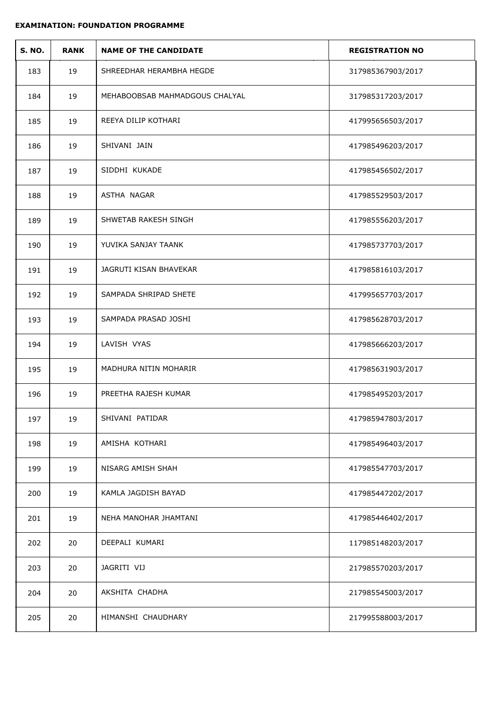| <b>S. NO.</b> | <b>RANK</b> | <b>NAME OF THE CANDIDATE</b>   | <b>REGISTRATION NO</b> |
|---------------|-------------|--------------------------------|------------------------|
| 183           | 19          | SHREEDHAR HERAMBHA HEGDE       | 317985367903/2017      |
| 184           | 19          | MEHABOOBSAB MAHMADGOUS CHALYAL | 317985317203/2017      |
| 185           | 19          | REEYA DILIP KOTHARI            | 417995656503/2017      |
| 186           | 19          | SHIVANI JAIN                   | 417985496203/2017      |
| 187           | 19          | SIDDHI KUKADE                  | 417985456502/2017      |
| 188           | 19          | ASTHA NAGAR                    | 417985529503/2017      |
| 189           | 19          | SHWETAB RAKESH SINGH           | 417985556203/2017      |
| 190           | 19          | YUVIKA SANJAY TAANK            | 417985737703/2017      |
| 191           | 19          | JAGRUTI KISAN BHAVEKAR         | 417985816103/2017      |
| 192           | 19          | SAMPADA SHRIPAD SHETE          | 417995657703/2017      |
| 193           | 19          | SAMPADA PRASAD JOSHI           | 417985628703/2017      |
| 194           | 19          | LAVISH VYAS                    | 417985666203/2017      |
| 195           | 19          | MADHURA NITIN MOHARIR          | 417985631903/2017      |
| 196           | 19          | PREETHA RAJESH KUMAR           | 417985495203/2017      |
| 197           | 19          | SHIVANI PATIDAR                | 417985947803/2017      |
| 198           | 19          | AMISHA KOTHARI                 | 417985496403/2017      |
| 199           | 19          | NISARG AMISH SHAH              | 417985547703/2017      |
| 200           | 19          | KAMLA JAGDISH BAYAD            | 417985447202/2017      |
| 201           | 19          | NEHA MANOHAR JHAMTANI          | 417985446402/2017      |
| 202           | 20          | DEEPALI KUMARI                 | 117985148203/2017      |
| 203           | 20          | JAGRITI VIJ                    | 217985570203/2017      |
| 204           | 20          | AKSHITA CHADHA                 | 217985545003/2017      |
| 205           | 20          | HIMANSHI CHAUDHARY             | 217995588003/2017      |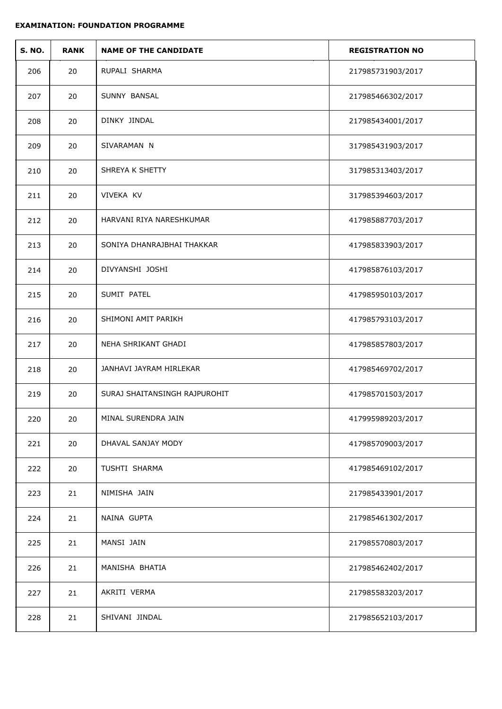| <b>S. NO.</b> | <b>RANK</b> | <b>NAME OF THE CANDIDATE</b>  | <b>REGISTRATION NO</b> |
|---------------|-------------|-------------------------------|------------------------|
| 206           | 20          | RUPALI SHARMA                 | 217985731903/2017      |
| 207           | 20          | SUNNY BANSAL                  | 217985466302/2017      |
| 208           | 20          | DINKY JINDAL                  | 217985434001/2017      |
| 209           | 20          | SIVARAMAN N                   | 317985431903/2017      |
| 210           | 20          | SHREYA K SHETTY               | 317985313403/2017      |
| 211           | 20          | VIVEKA KV                     | 317985394603/2017      |
| 212           | 20          | HARVANI RIYA NARESHKUMAR      | 417985887703/2017      |
| 213           | 20          | SONIYA DHANRAJBHAI THAKKAR    | 417985833903/2017      |
| 214           | 20          | DIVYANSHI JOSHI               | 417985876103/2017      |
| 215           | 20          | SUMIT PATEL                   | 417985950103/2017      |
| 216           | 20          | SHIMONI AMIT PARIKH           | 417985793103/2017      |
| 217           | 20          | NEHA SHRIKANT GHADI           | 417985857803/2017      |
| 218           | 20          | JANHAVI JAYRAM HIRLEKAR       | 417985469702/2017      |
| 219           | 20          | SURAJ SHAITANSINGH RAJPUROHIT | 417985701503/2017      |
| 220           | 20          | MINAL SURENDRA JAIN           | 417995989203/2017      |
| 221           | 20          | DHAVAL SANJAY MODY            | 417985709003/2017      |
| 222           | 20          | <b>TUSHTI SHARMA</b>          | 417985469102/2017      |
| 223           | 21          | NIMISHA JAIN                  | 217985433901/2017      |
| 224           | 21          | NAINA GUPTA                   | 217985461302/2017      |
| 225           | 21          | MANSI JAIN                    | 217985570803/2017      |
| 226           | 21          | MANISHA BHATIA                | 217985462402/2017      |
| 227           | 21          | AKRITI VERMA                  | 217985583203/2017      |
| 228           | 21          | SHIVANI JINDAL                | 217985652103/2017      |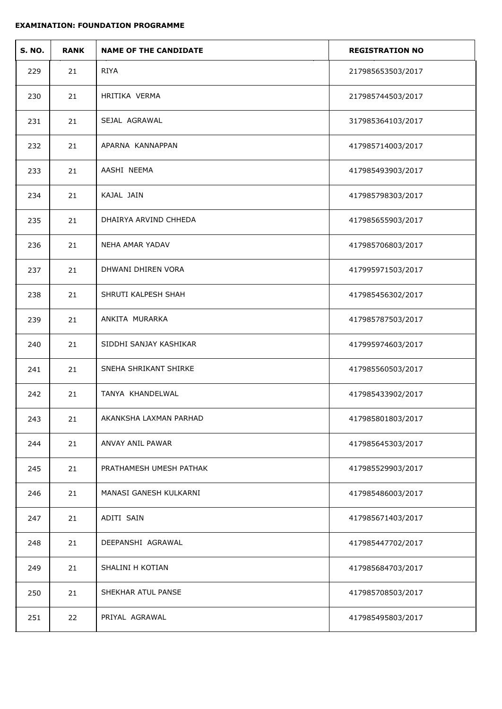| <b>S. NO.</b> | <b>RANK</b> | <b>NAME OF THE CANDIDATE</b> | <b>REGISTRATION NO</b> |
|---------------|-------------|------------------------------|------------------------|
| 229           | 21          | <b>RIYA</b>                  | 217985653503/2017      |
| 230           | 21          | HRITIKA VERMA                | 217985744503/2017      |
| 231           | 21          | SEJAL AGRAWAL                | 317985364103/2017      |
| 232           | 21          | APARNA KANNAPPAN             | 417985714003/2017      |
| 233           | 21          | AASHI NEEMA                  | 417985493903/2017      |
| 234           | 21          | KAJAL JAIN                   | 417985798303/2017      |
| 235           | 21          | DHAIRYA ARVIND CHHEDA        | 417985655903/2017      |
| 236           | 21          | NEHA AMAR YADAV              | 417985706803/2017      |
| 237           | 21          | DHWANI DHIREN VORA           | 417995971503/2017      |
| 238           | 21          | SHRUTI KALPESH SHAH          | 417985456302/2017      |
| 239           | 21          | ANKITA MURARKA               | 417985787503/2017      |
| 240           | 21          | SIDDHI SANJAY KASHIKAR       | 417995974603/2017      |
| 241           | 21          | SNEHA SHRIKANT SHIRKE        | 417985560503/2017      |
| 242           | 21          | TANYA KHANDELWAL             | 417985433902/2017      |
| 243           | 21          | AKANKSHA LAXMAN PARHAD       | 417985801803/2017      |
| 244           | 21          | ANVAY ANIL PAWAR             | 417985645303/2017      |
| 245           | 21          | PRATHAMESH UMESH PATHAK      | 417985529903/2017      |
| 246           | 21          | MANASI GANESH KULKARNI       | 417985486003/2017      |
| 247           | 21          | ADITI SAIN                   | 417985671403/2017      |
| 248           | 21          | DEEPANSHI AGRAWAL            | 417985447702/2017      |
| 249           | 21          | SHALINI H KOTIAN             | 417985684703/2017      |
| 250           | 21          | SHEKHAR ATUL PANSE           | 417985708503/2017      |
| 251           | 22          | PRIYAL AGRAWAL               | 417985495803/2017      |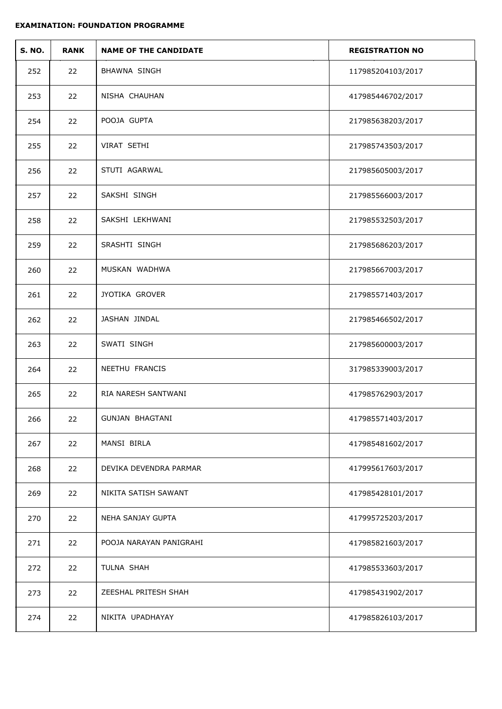| <b>S. NO.</b> | <b>RANK</b> | <b>NAME OF THE CANDIDATE</b> | <b>REGISTRATION NO</b> |
|---------------|-------------|------------------------------|------------------------|
| 252           | 22          | BHAWNA SINGH                 | 117985204103/2017      |
| 253           | 22          | NISHA CHAUHAN                | 417985446702/2017      |
| 254           | 22          | POOJA GUPTA                  | 217985638203/2017      |
| 255           | 22          | VIRAT SETHI                  | 217985743503/2017      |
| 256           | 22          | STUTI AGARWAL                | 217985605003/2017      |
| 257           | 22          | SAKSHI SINGH                 | 217985566003/2017      |
| 258           | 22          | SAKSHI LEKHWANI              | 217985532503/2017      |
| 259           | 22          | SRASHTI SINGH                | 217985686203/2017      |
| 260           | 22          | MUSKAN WADHWA                | 217985667003/2017      |
| 261           | 22          | JYOTIKA GROVER               | 217985571403/2017      |
| 262           | 22          | JASHAN JINDAL                | 217985466502/2017      |
| 263           | 22          | SWATI SINGH                  | 217985600003/2017      |
| 264           | 22          | NEETHU FRANCIS               | 317985339003/2017      |
| 265           | 22          | RIA NARESH SANTWANI          | 417985762903/2017      |
| 266           | 22          | <b>GUNJAN BHAGTANI</b>       | 417985571403/2017      |
| 267           | 22          | MANSI BIRLA                  | 417985481602/2017      |
| 268           | 22          | DEVIKA DEVENDRA PARMAR       | 417995617603/2017      |
| 269           | 22          | NIKITA SATISH SAWANT         | 417985428101/2017      |
| 270           | 22          | NEHA SANJAY GUPTA            | 417995725203/2017      |
| 271           | 22          | POOJA NARAYAN PANIGRAHI      | 417985821603/2017      |
| 272           | 22          | TULNA SHAH                   | 417985533603/2017      |
| 273           | 22          | ZEESHAL PRITESH SHAH         | 417985431902/2017      |
| 274           | 22          | NIKITA UPADHAYAY             | 417985826103/2017      |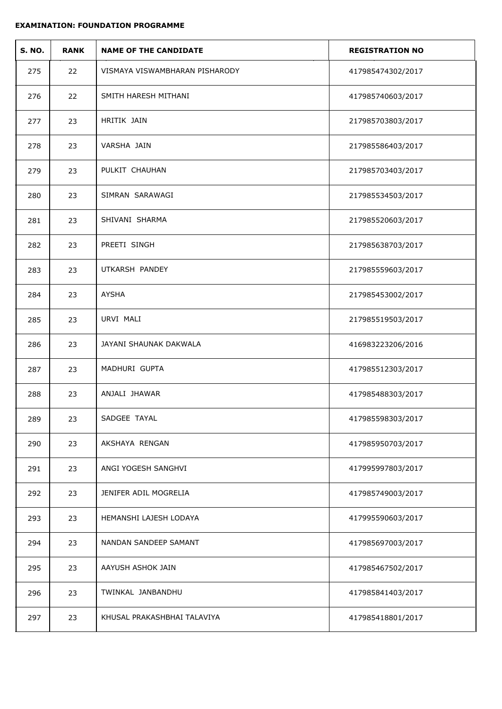| <b>S. NO.</b> | <b>RANK</b> | <b>NAME OF THE CANDIDATE</b>   | <b>REGISTRATION NO</b> |
|---------------|-------------|--------------------------------|------------------------|
| 275           | 22          | VISMAYA VISWAMBHARAN PISHARODY | 417985474302/2017      |
| 276           | 22          | SMITH HARESH MITHANI           | 417985740603/2017      |
| 277           | 23          | HRITIK JAIN                    | 217985703803/2017      |
| 278           | 23          | VARSHA JAIN                    | 217985586403/2017      |
| 279           | 23          | PULKIT CHAUHAN                 | 217985703403/2017      |
| 280           | 23          | SIMRAN SARAWAGI                | 217985534503/2017      |
| 281           | 23          | SHIVANI SHARMA                 | 217985520603/2017      |
| 282           | 23          | PREETI SINGH                   | 217985638703/2017      |
| 283           | 23          | UTKARSH PANDEY                 | 217985559603/2017      |
| 284           | 23          | <b>AYSHA</b>                   | 217985453002/2017      |
| 285           | 23          | URVI MALI                      | 217985519503/2017      |
| 286           | 23          | JAYANI SHAUNAK DAKWALA         | 416983223206/2016      |
| 287           | 23          | MADHURI GUPTA                  | 417985512303/2017      |
| 288           | 23          | ANJALI JHAWAR                  | 417985488303/2017      |
| 289           | 23          | SADGEE TAYAL                   | 417985598303/2017      |
| 290           | 23          | AKSHAYA RENGAN                 | 417985950703/2017      |
| 291           | 23          | ANGI YOGESH SANGHVI            | 417995997803/2017      |
| 292           | 23          | JENIFER ADIL MOGRELIA          | 417985749003/2017      |
| 293           | 23          | HEMANSHI LAJESH LODAYA         | 417995590603/2017      |
| 294           | 23          | NANDAN SANDEEP SAMANT          | 417985697003/2017      |
| 295           | 23          | AAYUSH ASHOK JAIN              | 417985467502/2017      |
| 296           | 23          | TWINKAL JANBANDHU              | 417985841403/2017      |
| 297           | 23          | KHUSAL PRAKASHBHAI TALAVIYA    | 417985418801/2017      |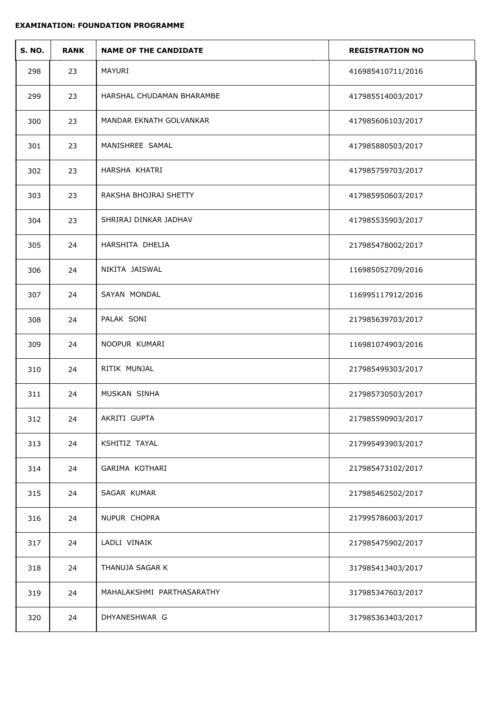| <b>S. NO.</b> | <b>RANK</b> | <b>NAME OF THE CANDIDATE</b> | <b>REGISTRATION NO</b> |
|---------------|-------------|------------------------------|------------------------|
| 298           | 23          | MAYURI                       | 416985410711/2016      |
| 299           | 23          | HARSHAL CHUDAMAN BHARAMBE    | 417985514003/2017      |
| 300           | 23          | MANDAR EKNATH GOLVANKAR      | 417985606103/2017      |
| 301           | 23          | MANISHREE SAMAL              | 417985880503/2017      |
| 302           | 23          | HARSHA KHATRI                | 417985759703/2017      |
| 303           | 23          | RAKSHA BHOJRAJ SHETTY        | 417985950603/2017      |
| 304           | 23          | SHRIRAJ DINKAR JADHAV        | 417985535903/2017      |
| 305           | 24          | HARSHITA DHELIA              | 217985478002/2017      |
| 306           | 24          | NIKITA JAISWAL               | 116985052709/2016      |
| 307           | 24          | SAYAN MONDAL                 | 116995117912/2016      |
| 308           | 24          | PALAK SONI                   | 217985639703/2017      |
| 309           | 24          | NOOPUR KUMARI                | 116981074903/2016      |
| 310           | 24          | RITIK MUNJAL                 | 217985499303/2017      |
| 311           | 24          | MUSKAN SINHA                 | 217985730503/2017      |
| 312           | 24          | AKRITI GUPTA                 | 217985590903/2017      |
| 313           | 24          | KSHITIZ TAYAL                | 217995493903/2017      |
| 314           | 24          | GARIMA KOTHARI               | 217985473102/2017      |
| 315           | 24          | SAGAR KUMAR                  | 217985462502/2017      |
| 316           | 24          | NUPUR CHOPRA                 | 217995786003/2017      |
| 317           | 24          | LADLI VINAIK                 | 217985475902/2017      |
| 318           | 24          | THANUJA SAGAR K              | 317985413403/2017      |
| 319           | 24          | MAHALAKSHMI PARTHASARATHY    | 317985347603/2017      |
| 320           | 24          | DHYANESHWAR G                | 317985363403/2017      |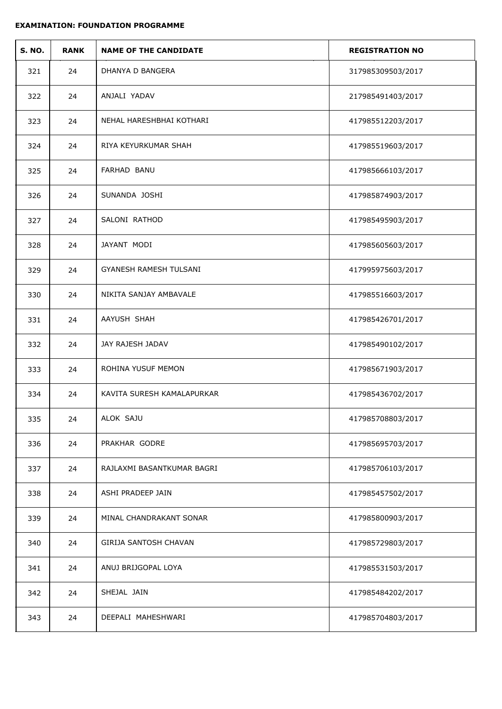| <b>S. NO.</b> | <b>RANK</b> | <b>NAME OF THE CANDIDATE</b>  | <b>REGISTRATION NO</b> |
|---------------|-------------|-------------------------------|------------------------|
| 321           | 24          | DHANYA D BANGERA              | 317985309503/2017      |
| 322           | 24          | ANJALI YADAV                  | 217985491403/2017      |
| 323           | 24          | NEHAL HARESHBHAI KOTHARI      | 417985512203/2017      |
| 324           | 24          | RIYA KEYURKUMAR SHAH          | 417985519603/2017      |
| 325           | 24          | FARHAD BANU                   | 417985666103/2017      |
| 326           | 24          | SUNANDA JOSHI                 | 417985874903/2017      |
| 327           | 24          | SALONI RATHOD                 | 417985495903/2017      |
| 328           | 24          | JAYANT MODI                   | 417985605603/2017      |
| 329           | 24          | <b>GYANESH RAMESH TULSANI</b> | 417995975603/2017      |
| 330           | 24          | NIKITA SANJAY AMBAVALE        | 417985516603/2017      |
| 331           | 24          | AAYUSH SHAH                   | 417985426701/2017      |
| 332           | 24          | JAY RAJESH JADAV              | 417985490102/2017      |
| 333           | 24          | ROHINA YUSUF MEMON            | 417985671903/2017      |
| 334           | 24          | KAVITA SURESH KAMALAPURKAR    | 417985436702/2017      |
| 335           | 24          | ALOK SAJU                     | 417985708803/2017      |
| 336           | 24          | PRAKHAR GODRE                 | 417985695703/2017      |
| 337           | 24          | RAJLAXMI BASANTKUMAR BAGRI    | 417985706103/2017      |
| 338           | 24          | ASHI PRADEEP JAIN             | 417985457502/2017      |
| 339           | 24          | MINAL CHANDRAKANT SONAR       | 417985800903/2017      |
| 340           | 24          | <b>GIRIJA SANTOSH CHAVAN</b>  | 417985729803/2017      |
| 341           | 24          | ANUJ BRIJGOPAL LOYA           | 417985531503/2017      |
| 342           | 24          | SHEJAL JAIN                   | 417985484202/2017      |
| 343           | 24          | DEEPALI MAHESHWARI            | 417985704803/2017      |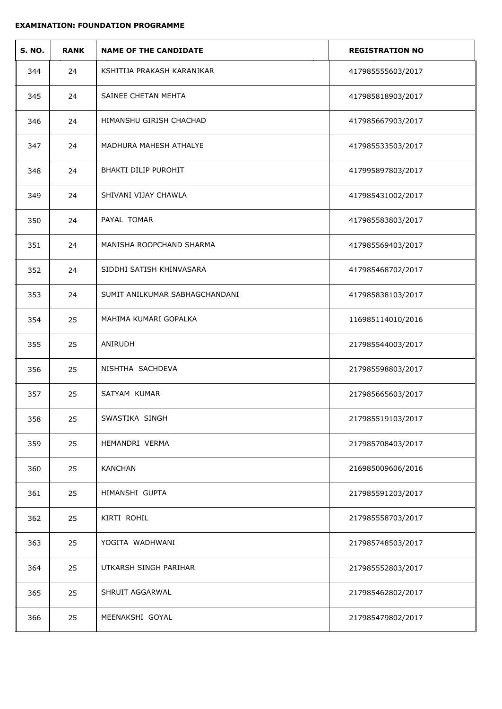| <b>S. NO.</b> | <b>RANK</b> | <b>NAME OF THE CANDIDATE</b>   | <b>REGISTRATION NO</b> |
|---------------|-------------|--------------------------------|------------------------|
| 344           | 24          | KSHITIJA PRAKASH KARANJKAR     | 417985555603/2017      |
| 345           | 24          | SAINEE CHETAN MEHTA            | 417985818903/2017      |
| 346           | 24          | HIMANSHU GIRISH CHACHAD        | 417985667903/2017      |
| 347           | 24          | MADHURA MAHESH ATHALYE         | 417985533503/2017      |
| 348           | 24          | BHAKTI DILIP PUROHIT           | 417995897803/2017      |
| 349           | 24          | SHIVANI VIJAY CHAWLA           | 417985431002/2017      |
| 350           | 24          | PAYAL TOMAR                    | 417985583803/2017      |
| 351           | 24          | MANISHA ROOPCHAND SHARMA       | 417985569403/2017      |
| 352           | 24          | SIDDHI SATISH KHINVASARA       | 417985468702/2017      |
| 353           | 24          | SUMIT ANILKUMAR SABHAGCHANDANI | 417985838103/2017      |
| 354           | 25          | MAHIMA KUMARI GOPALKA          | 116985114010/2016      |
| 355           | 25          | ANIRUDH                        | 217985544003/2017      |
| 356           | 25          | NISHTHA SACHDEVA               | 217985598803/2017      |
| 357           | 25          | SATYAM KUMAR                   | 217985665603/2017      |
| 358           | 25          | SWASTIKA SINGH                 | 217985519103/2017      |
| 359           | 25          | HEMANDRI VERMA                 | 217985708403/2017      |
| 360           | 25          | <b>KANCHAN</b>                 | 216985009606/2016      |
| 361           | 25          | HIMANSHI GUPTA                 | 217985591203/2017      |
| 362           | 25          | KIRTI ROHIL                    | 217985558703/2017      |
| 363           | 25          | YOGITA WADHWANI                | 217985748503/2017      |
| 364           | 25          | UTKARSH SINGH PARIHAR          | 217985552803/2017      |
| 365           | 25          | SHRUIT AGGARWAL                | 217985462802/2017      |
| 366           | 25          | MEENAKSHI GOYAL                | 217985479802/2017      |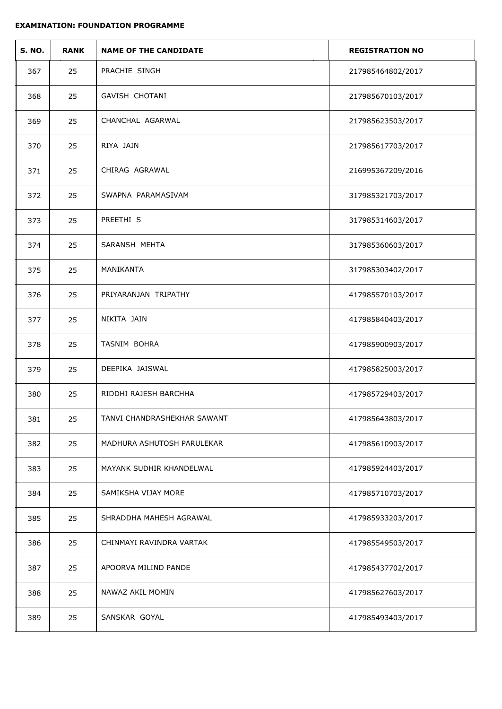| <b>S. NO.</b> | <b>RANK</b> | <b>NAME OF THE CANDIDATE</b> | <b>REGISTRATION NO</b> |
|---------------|-------------|------------------------------|------------------------|
| 367           | 25          | PRACHIE SINGH                | 217985464802/2017      |
| 368           | 25          | GAVISH CHOTANI               | 217985670103/2017      |
| 369           | 25          | CHANCHAL AGARWAL             | 217985623503/2017      |
| 370           | 25          | RIYA JAIN                    | 217985617703/2017      |
| 371           | 25          | CHIRAG AGRAWAL               | 216995367209/2016      |
| 372           | 25          | SWAPNA PARAMASIVAM           | 317985321703/2017      |
| 373           | 25          | PREETHI S                    | 317985314603/2017      |
| 374           | 25          | SARANSH MEHTA                | 317985360603/2017      |
| 375           | 25          | MANIKANTA                    | 317985303402/2017      |
| 376           | 25          | PRIYARANJAN TRIPATHY         | 417985570103/2017      |
| 377           | 25          | NIKITA JAIN                  | 417985840403/2017      |
| 378           | 25          | TASNIM BOHRA                 | 417985900903/2017      |
| 379           | 25          | DEEPIKA JAISWAL              | 417985825003/2017      |
| 380           | 25          | RIDDHI RAJESH BARCHHA        | 417985729403/2017      |
| 381           | 25          | TANVI CHANDRASHEKHAR SAWANT  | 417985643803/2017      |
| 382           | 25          | MADHURA ASHUTOSH PARULEKAR   | 417985610903/2017      |
| 383           | 25          | MAYANK SUDHIR KHANDELWAL     | 417985924403/2017      |
| 384           | 25          | SAMIKSHA VIJAY MORE          | 417985710703/2017      |
| 385           | 25          | SHRADDHA MAHESH AGRAWAL      | 417985933203/2017      |
| 386           | 25          | CHINMAYI RAVINDRA VARTAK     | 417985549503/2017      |
| 387           | 25          | APOORVA MILIND PANDE         | 417985437702/2017      |
| 388           | 25          | NAWAZ AKIL MOMIN             | 417985627603/2017      |
| 389           | 25          | SANSKAR GOYAL                | 417985493403/2017      |